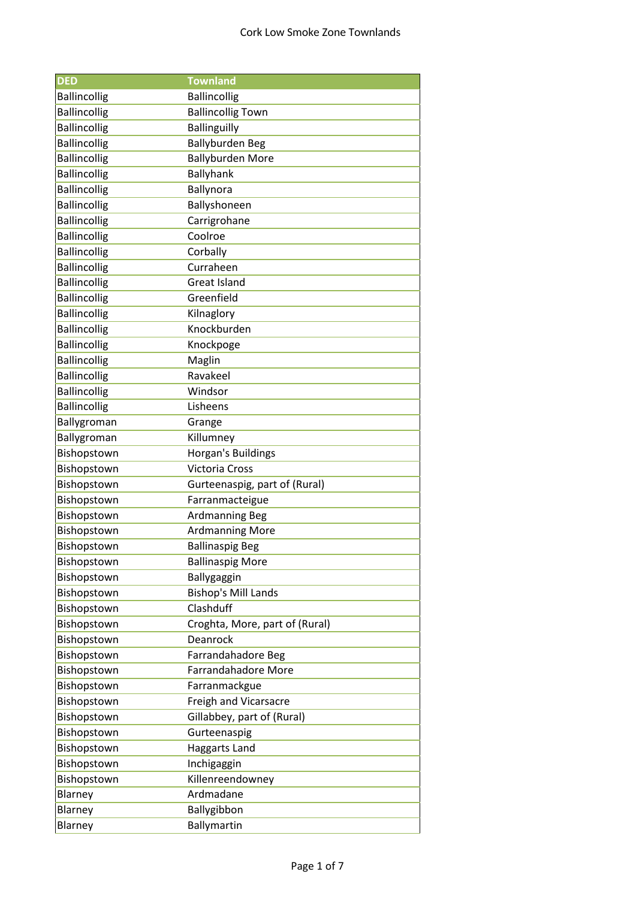| <b>DED</b>          | <b>Townland</b>                |
|---------------------|--------------------------------|
| <b>Ballincollig</b> | <b>Ballincollig</b>            |
| <b>Ballincollig</b> | <b>Ballincollig Town</b>       |
| <b>Ballincollig</b> | <b>Ballinguilly</b>            |
| <b>Ballincollig</b> | <b>Ballyburden Beg</b>         |
| <b>Ballincollig</b> | <b>Ballyburden More</b>        |
| <b>Ballincollig</b> | Ballyhank                      |
| <b>Ballincollig</b> | Ballynora                      |
| <b>Ballincollig</b> | Ballyshoneen                   |
| <b>Ballincollig</b> | Carrigrohane                   |
| <b>Ballincollig</b> | Coolroe                        |
| <b>Ballincollig</b> | Corbally                       |
| <b>Ballincollig</b> | Curraheen                      |
| <b>Ballincollig</b> | <b>Great Island</b>            |
| <b>Ballincollig</b> | Greenfield                     |
| <b>Ballincollig</b> | Kilnaglory                     |
| <b>Ballincollig</b> | Knockburden                    |
| <b>Ballincollig</b> | Knockpoge                      |
| <b>Ballincollig</b> | Maglin                         |
| <b>Ballincollig</b> | Ravakeel                       |
| <b>Ballincollig</b> | Windsor                        |
| <b>Ballincollig</b> | Lisheens                       |
| Ballygroman         | Grange                         |
| Ballygroman         | Killumney                      |
| Bishopstown         | Horgan's Buildings             |
| Bishopstown         | <b>Victoria Cross</b>          |
| Bishopstown         | Gurteenaspig, part of (Rural)  |
| Bishopstown         | Farranmacteigue                |
| Bishopstown         | <b>Ardmanning Beg</b>          |
| Bishopstown         | <b>Ardmanning More</b>         |
| Bishopstown         | <b>Ballinaspig Beg</b>         |
| Bishopstown         | <b>Ballinaspig More</b>        |
| Bishopstown         | Ballygaggin                    |
| Bishopstown         | <b>Bishop's Mill Lands</b>     |
| Bishopstown         | Clashduff                      |
| Bishopstown         | Croghta, More, part of (Rural) |
| Bishopstown         | Deanrock                       |
| Bishopstown         | Farrandahadore Beg             |
| Bishopstown         | Farrandahadore More            |
| Bishopstown         | Farranmackgue                  |
| Bishopstown         | Freigh and Vicarsacre          |
| Bishopstown         | Gillabbey, part of (Rural)     |
| Bishopstown         | Gurteenaspig                   |
| Bishopstown         | Haggarts Land                  |
| Bishopstown         | Inchigaggin                    |
| Bishopstown         | Killenreendowney               |
| Blarney             | Ardmadane                      |
| Blarney             | Ballygibbon                    |
| Blarney             | Ballymartin                    |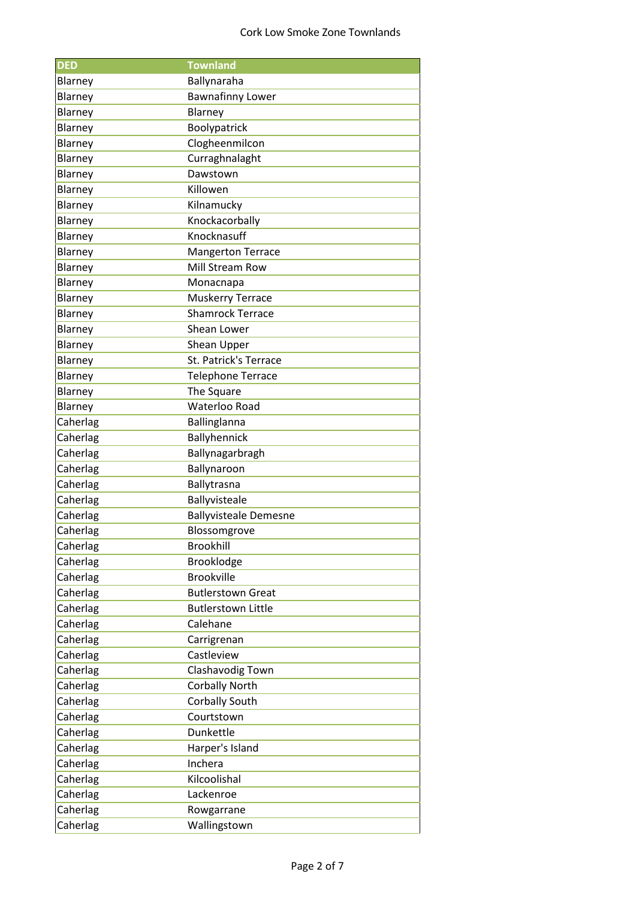| <b>DED</b> | <b>Townland</b>              |
|------------|------------------------------|
| Blarney    | Ballynaraha                  |
| Blarney    | <b>Bawnafinny Lower</b>      |
| Blarney    | Blarney                      |
| Blarney    | Boolypatrick                 |
| Blarney    | Clogheenmilcon               |
| Blarney    | Curraghnalaght               |
| Blarney    | Dawstown                     |
| Blarney    | Killowen                     |
| Blarney    | Kilnamucky                   |
| Blarney    | Knockacorbally               |
| Blarney    | Knocknasuff                  |
| Blarney    | <b>Mangerton Terrace</b>     |
| Blarney    | <b>Mill Stream Row</b>       |
| Blarney    | Monacnapa                    |
| Blarney    | <b>Muskerry Terrace</b>      |
| Blarney    | <b>Shamrock Terrace</b>      |
| Blarney    | Shean Lower                  |
| Blarney    | Shean Upper                  |
| Blarney    | St. Patrick's Terrace        |
| Blarney    | <b>Telephone Terrace</b>     |
| Blarney    | The Square                   |
| Blarney    | Waterloo Road                |
| Caherlag   | Ballinglanna                 |
| Caherlag   | Ballyhennick                 |
| Caherlag   | Ballynagarbragh              |
| Caherlag   | Ballynaroon                  |
| Caherlag   | Ballytrasna                  |
| Caherlag   | Ballyvisteale                |
| Caherlag   | <b>Ballyvisteale Demesne</b> |
| Caherlag   | Blossomgrove                 |
| Caherlag   | <b>Brookhill</b>             |
| Caherlag   | Brooklodge                   |
| Caherlag   | <b>Brookville</b>            |
| Caherlag   | <b>Butlerstown Great</b>     |
| Caherlag   | <b>Butlerstown Little</b>    |
| Caherlag   | Calehane                     |
| Caherlag   | Carrigrenan                  |
| Caherlag   | Castleview                   |
| Caherlag   | Clashavodig Town             |
| Caherlag   | <b>Corbally North</b>        |
| Caherlag   | <b>Corbally South</b>        |
| Caherlag   | Courtstown                   |
| Caherlag   | Dunkettle                    |
| Caherlag   | Harper's Island              |
| Caherlag   | Inchera                      |
| Caherlag   | Kilcoolishal                 |
| Caherlag   | Lackenroe                    |
| Caherlag   | Rowgarrane                   |
| Caherlag   | Wallingstown                 |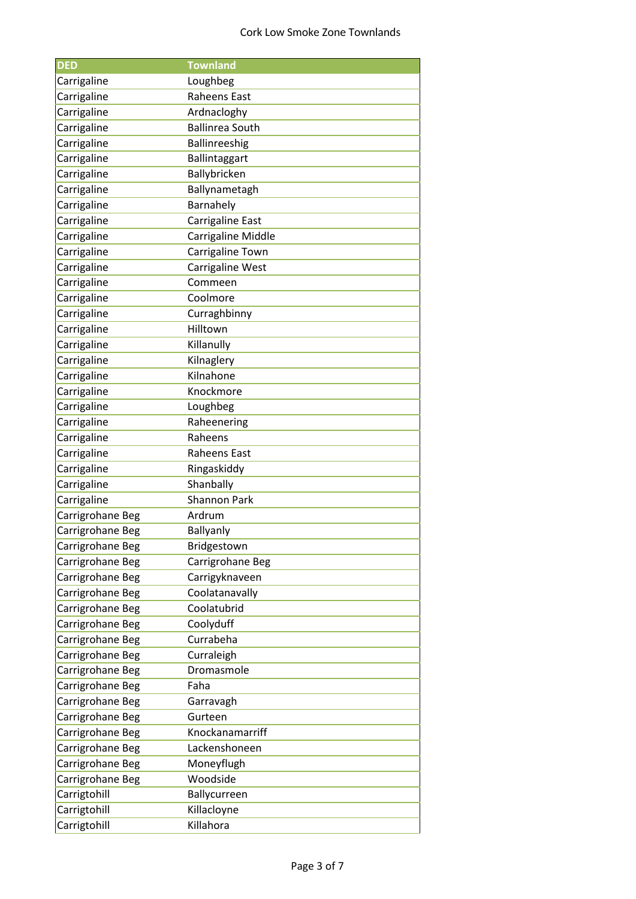| <b>DED</b>       | <b>Townland</b>        |
|------------------|------------------------|
| Carrigaline      | Loughbeg               |
| Carrigaline      | Raheens East           |
| Carrigaline      | Ardnacloghy            |
| Carrigaline      | <b>Ballinrea South</b> |
| Carrigaline      | Ballinreeshig          |
| Carrigaline      | Ballintaggart          |
| Carrigaline      | Ballybricken           |
| Carrigaline      | Ballynametagh          |
| Carrigaline      | Barnahely              |
| Carrigaline      | Carrigaline East       |
| Carrigaline      | Carrigaline Middle     |
| Carrigaline      | Carrigaline Town       |
| Carrigaline      | Carrigaline West       |
| Carrigaline      | Commeen                |
| Carrigaline      | Coolmore               |
| Carrigaline      | Curraghbinny           |
| Carrigaline      | Hilltown               |
| Carrigaline      | Killanully             |
| Carrigaline      | Kilnaglery             |
| Carrigaline      | Kilnahone              |
| Carrigaline      | Knockmore              |
| Carrigaline      | Loughbeg               |
| Carrigaline      | Raheenering            |
| Carrigaline      | Raheens                |
|                  |                        |
| Carrigaline      | Raheens East           |
| Carrigaline      | Ringaskiddy            |
| Carrigaline      | Shanbally              |
| Carrigaline      | <b>Shannon Park</b>    |
| Carrigrohane Beg | Ardrum                 |
| Carrigrohane Beg | Ballyanly              |
| Carrigrohane Beg | Bridgestown            |
| Carrigrohane Beg | Carrigrohane Beg       |
| Carrigrohane Beg | Carrigyknaveen         |
| Carrigrohane Beg | Coolatanavally         |
| Carrigrohane Beg | Coolatubrid            |
| Carrigrohane Beg | Coolyduff              |
| Carrigrohane Beg | Currabeha              |
| Carrigrohane Beg | Curraleigh             |
| Carrigrohane Beg | Dromasmole             |
| Carrigrohane Beg | Faha                   |
| Carrigrohane Beg | Garravagh              |
| Carrigrohane Beg | Gurteen                |
| Carrigrohane Beg | Knockanamarriff        |
| Carrigrohane Beg | Lackenshoneen          |
| Carrigrohane Beg | Moneyflugh             |
| Carrigrohane Beg | Woodside               |
| Carrigtohill     | Ballycurreen           |
| Carrigtohill     | Killacloyne            |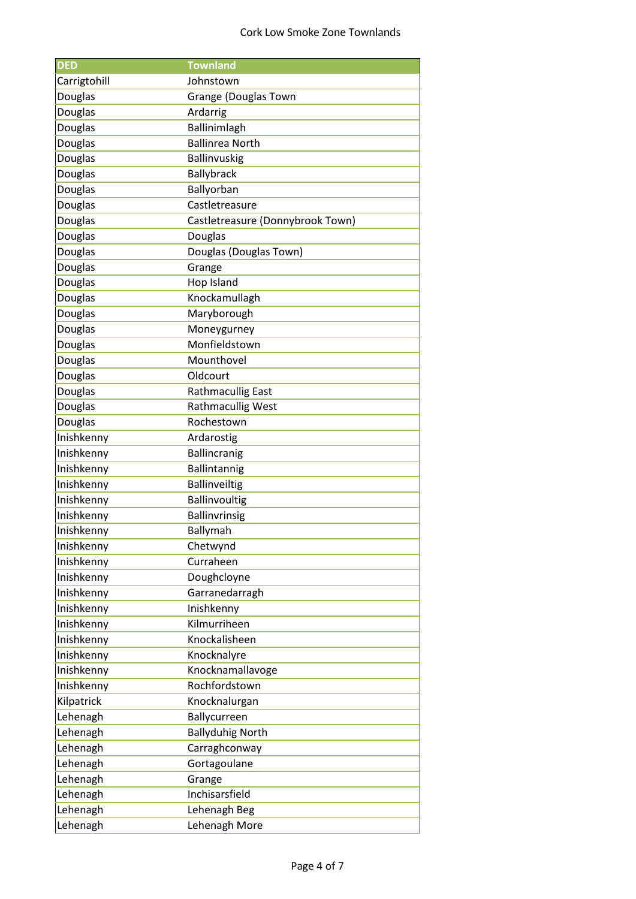| <b>DED</b>     | <b>Townland</b>                  |
|----------------|----------------------------------|
| Carrigtohill   | Johnstown                        |
| Douglas        | <b>Grange (Douglas Town</b>      |
| Douglas        | Ardarrig                         |
| Douglas        | Ballinimlagh                     |
| Douglas        | <b>Ballinrea North</b>           |
| Douglas        | Ballinvuskig                     |
| Douglas        | Ballybrack                       |
| Douglas        | Ballyorban                       |
| Douglas        | Castletreasure                   |
| Douglas        | Castletreasure (Donnybrook Town) |
| Douglas        | Douglas                          |
| Douglas        | Douglas (Douglas Town)           |
| Douglas        | Grange                           |
| Douglas        | Hop Island                       |
| Douglas        | Knockamullagh                    |
| <b>Douglas</b> | Maryborough                      |
| Douglas        | Moneygurney                      |
| Douglas        | Monfieldstown                    |
| Douglas        | Mounthovel                       |
| Douglas        | Oldcourt                         |
| Douglas        | <b>Rathmacullig East</b>         |
| Douglas        | <b>Rathmacullig West</b>         |
| Douglas        | Rochestown                       |
| Inishkenny     | Ardarostig                       |
| Inishkenny     | Ballincranig                     |
| Inishkenny     | Ballintannig                     |
| Inishkenny     | <b>Ballinveiltig</b>             |
| Inishkenny     | Ballinvoultig                    |
| Inishkenny     | <b>Ballinvrinsig</b>             |
| Inishkenny     | Ballymah                         |
| Inishkenny     | Chetwynd                         |
| Inishkenny     | Curraheen                        |
| Inishkenny     | Doughcloyne                      |
| Inishkenny     | Garranedarragh                   |
| Inishkenny     | Inishkenny                       |
| Inishkenny     | Kilmurriheen                     |
| Inishkenny     | Knockalisheen                    |
| Inishkenny     | Knocknalyre                      |
| Inishkenny     | Knocknamallavoge                 |
| Inishkenny     | Rochfordstown                    |
| Kilpatrick     | Knocknalurgan                    |
| Lehenagh       | Ballycurreen                     |
| Lehenagh       | <b>Ballyduhig North</b>          |
| Lehenagh       | Carraghconway                    |
| Lehenagh       | Gortagoulane                     |
| Lehenagh       | Grange                           |
| Lehenagh       | Inchisarsfield                   |
| Lehenagh       | Lehenagh Beg                     |
| Lehenagh       | Lehenagh More                    |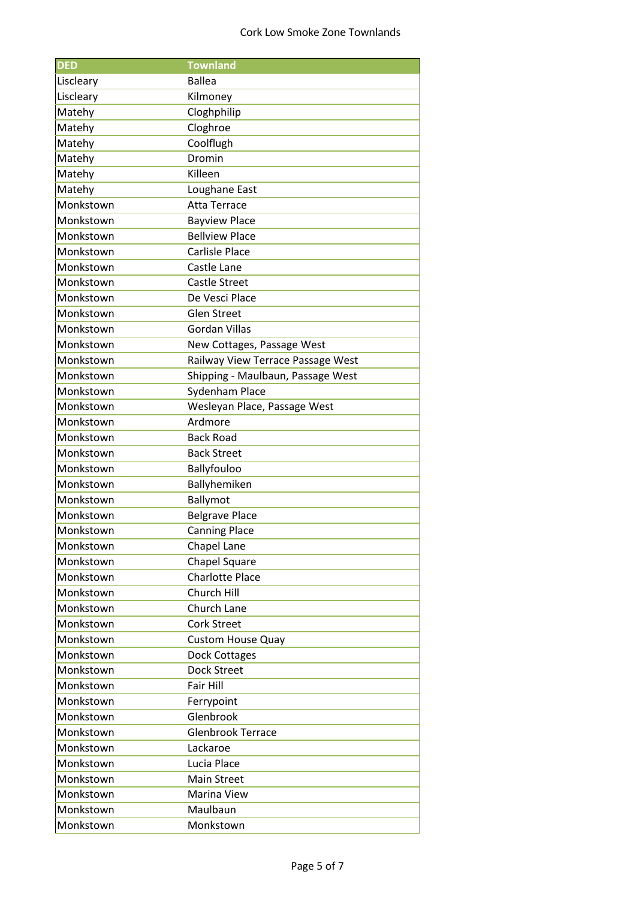| <b>DED</b> | <b>Townland</b>                     |
|------------|-------------------------------------|
| Liscleary  | <b>Ballea</b>                       |
| Liscleary  | Kilmoney                            |
| Matehy     | Cloghphilip                         |
| Matehy     | Cloghroe                            |
| Matehy     | Coolflugh                           |
| Matehy     | Dromin                              |
| Matehy     | Killeen                             |
| Matehy     | Loughane East                       |
| Monkstown  | <b>Atta Terrace</b>                 |
| Monkstown  | <b>Bayview Place</b>                |
| Monkstown  | <b>Bellview Place</b>               |
| Monkstown  | <b>Carlisle Place</b>               |
| Monkstown  | Castle Lane                         |
| Monkstown  | <b>Castle Street</b>                |
| Monkstown  | De Vesci Place                      |
| Monkstown  | <b>Glen Street</b>                  |
| Monkstown  | <b>Gordan Villas</b>                |
| Monkstown  | New Cottages, Passage West          |
| Monkstown  | Railway View Terrace Passage West   |
| Monkstown  | Shipping - Maulbaun, Passage West   |
| Monkstown  | Sydenham Place                      |
| Monkstown  | Wesleyan Place, Passage West        |
| Monkstown  | Ardmore                             |
| Monkstown  | <b>Back Road</b>                    |
| Monkstown  | <b>Back Street</b>                  |
| Monkstown  | Ballyfouloo                         |
| Monkstown  | Ballyhemiken                        |
| Monkstown  | Ballymot                            |
| Monkstown  | <b>Belgrave Place</b>               |
| Monkstown  | <b>Canning Place</b>                |
| Monkstown  | Chapel Lane                         |
| Monkstown  | Chapel Square                       |
| Monkstown  | <b>Charlotte Place</b>              |
| Monkstown  | Church Hill                         |
| Monkstown  | Church Lane                         |
| Monkstown  | <b>Cork Street</b>                  |
| Monkstown  |                                     |
| Monkstown  | <b>Custom House Quay</b>            |
|            | Dock Cottages<br><b>Dock Street</b> |
| Monkstown  |                                     |
| Monkstown  | Fair Hill                           |
| Monkstown  | Ferrypoint                          |
| Monkstown  | Glenbrook                           |
| Monkstown  | <b>Glenbrook Terrace</b>            |
| Monkstown  | Lackaroe                            |
| Monkstown  | Lucia Place                         |
| Monkstown  | <b>Main Street</b>                  |
| Monkstown  | Marina View                         |
| Monkstown  | Maulbaun                            |
| Monkstown  | Monkstown                           |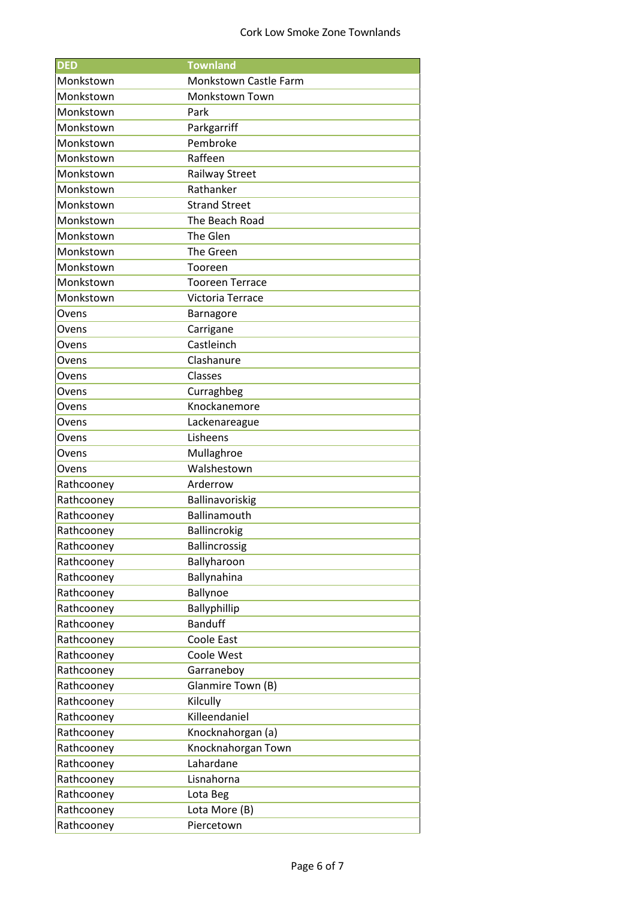| <b>DED</b> | <b>Townland</b>        |
|------------|------------------------|
| Monkstown  | Monkstown Castle Farm  |
| Monkstown  | <b>Monkstown Town</b>  |
| Monkstown  | Park                   |
| Monkstown  | Parkgarriff            |
| Monkstown  | Pembroke               |
| Monkstown  | Raffeen                |
| Monkstown  | <b>Railway Street</b>  |
| Monkstown  | Rathanker              |
| Monkstown  | <b>Strand Street</b>   |
| Monkstown  | The Beach Road         |
| Monkstown  | The Glen               |
| Monkstown  | The Green              |
| Monkstown  | Tooreen                |
| Monkstown  | <b>Tooreen Terrace</b> |
| Monkstown  | Victoria Terrace       |
| Ovens      | Barnagore              |
| Ovens      | Carrigane              |
| Ovens      | Castleinch             |
| Ovens      | Clashanure             |
| Ovens      | Classes                |
| Ovens      | Curraghbeg             |
| Ovens      | Knockanemore           |
| Ovens      | Lackenareague          |
| Ovens      | Lisheens               |
| Ovens      | Mullaghroe             |
| Ovens      | Walshestown            |
| Rathcooney | Arderrow               |
| Rathcooney | Ballinavoriskig        |
| Rathcooney | Ballinamouth           |
| Rathcooney | Ballincrokig           |
| Rathcooney | Ballincrossig          |
| Rathcooney | Ballyharoon            |
| Rathcooney | Ballynahina            |
| Rathcooney | Ballynoe               |
| Rathcooney | Ballyphillip           |
| Rathcooney | <b>Banduff</b>         |
| Rathcooney | Coole East             |
| Rathcooney | Coole West             |
| Rathcooney | Garraneboy             |
| Rathcooney | Glanmire Town (B)      |
| Rathcooney | Kilcully               |
| Rathcooney | Killeendaniel          |
| Rathcooney | Knocknahorgan (a)      |
| Rathcooney | Knocknahorgan Town     |
| Rathcooney | Lahardane              |
| Rathcooney | Lisnahorna             |
| Rathcooney | Lota Beg               |
| Rathcooney | Lota More (B)          |
| Rathcooney | Piercetown             |